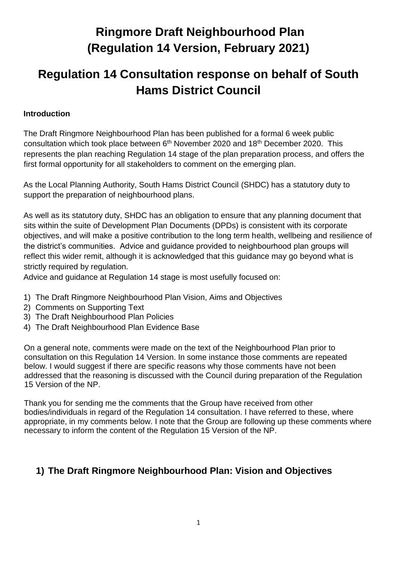# **Ringmore Draft Neighbourhood Plan (Regulation 14 Version, February 2021)**

# **Regulation 14 Consultation response on behalf of South Hams District Council**

#### **Introduction**

The Draft Ringmore Neighbourhood Plan has been published for a formal 6 week public consultation which took place between 6<sup>th</sup> November 2020 and 18<sup>th</sup> December 2020. This represents the plan reaching Regulation 14 stage of the plan preparation process, and offers the first formal opportunity for all stakeholders to comment on the emerging plan.

As the Local Planning Authority, South Hams District Council (SHDC) has a statutory duty to support the preparation of neighbourhood plans.

As well as its statutory duty, SHDC has an obligation to ensure that any planning document that sits within the suite of Development Plan Documents (DPDs) is consistent with its corporate objectives, and will make a positive contribution to the long term health, wellbeing and resilience of the district's communities. Advice and guidance provided to neighbourhood plan groups will reflect this wider remit, although it is acknowledged that this guidance may go beyond what is strictly required by regulation.

Advice and guidance at Regulation 14 stage is most usefully focused on:

- 1) The Draft Ringmore Neighbourhood Plan Vision, Aims and Objectives
- 2) Comments on Supporting Text
- 3) The Draft Neighbourhood Plan Policies
- 4) The Draft Neighbourhood Plan Evidence Base

On a general note, comments were made on the text of the Neighbourhood Plan prior to consultation on this Regulation 14 Version. In some instance those comments are repeated below. I would suggest if there are specific reasons why those comments have not been addressed that the reasoning is discussed with the Council during preparation of the Regulation 15 Version of the NP.

Thank you for sending me the comments that the Group have received from other bodies/individuals in regard of the Regulation 14 consultation. I have referred to these, where appropriate, in my comments below. I note that the Group are following up these comments where necessary to inform the content of the Regulation 15 Version of the NP.

## **1) The Draft Ringmore Neighbourhood Plan: Vision and Objectives**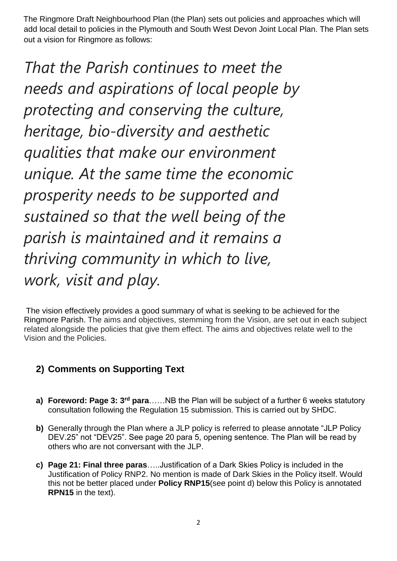The Ringmore Draft Neighbourhood Plan (the Plan) sets out policies and approaches which will add local detail to policies in the Plymouth and South West Devon Joint Local Plan. The Plan sets out a vision for Ringmore as follows:

*That the Parish continues to meet the needs and aspirations of local people by protecting and conserving the culture, heritage, bio-diversity and aesthetic qualities that make our environment unique. At the same time the economic prosperity needs to be supported and sustained so that the well being of the parish is maintained and it remains a thriving community in which to live, work, visit and play.*

The vision effectively provides a good summary of what is seeking to be achieved for the Ringmore Parish. The aims and objectives, stemming from the Vision, are set out in each subject related alongside the policies that give them effect. The aims and objectives relate well to the Vision and the Policies.

## **2) Comments on Supporting Text**

- **a) Foreword: Page 3: 3rd para**……NB the Plan will be subject of a further 6 weeks statutory consultation following the Regulation 15 submission. This is carried out by SHDC.
- **b)** Generally through the Plan where a JLP policy is referred to please annotate "JLP Policy DEV.25" not "DEV25". See page 20 para 5, opening sentence. The Plan will be read by others who are not conversant with the JLP.
- **c) Page 21: Final three paras**…..Justification of a Dark Skies Policy is included in the Justification of Policy RNP2. No mention is made of Dark Skies in the Policy itself. Would this not be better placed under **Policy RNP15**(see point d) below this Policy is annotated **RPN15** in the text).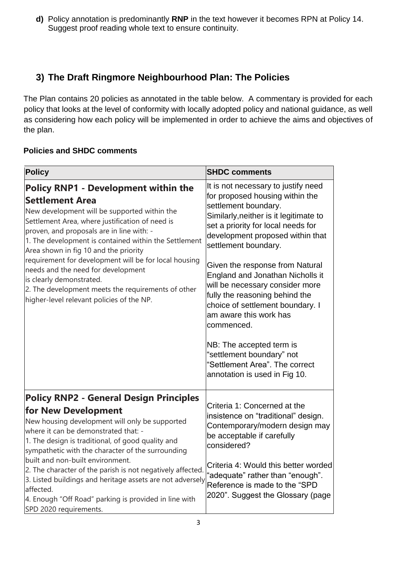**d)** Policy annotation is predominantly **RNP** in the text however it becomes RPN at Policy 14. Suggest proof reading whole text to ensure continuity.

## **3) The Draft Ringmore Neighbourhood Plan: The Policies**

The Plan contains 20 policies as annotated in the table below. A commentary is provided for each policy that looks at the level of conformity with locally adopted policy and national guidance, as well as considering how each policy will be implemented in order to achieve the aims and objectives of the plan.

### **Policies and SHDC comments**

| <b>Policy</b>                                                                                                                                                                                                                                                                                                                                                                                                                                                                                                                                         | <b>SHDC comments</b>                                                                                                                                                                                                                                                                                                                                                                                                                                                                                                                                                                           |
|-------------------------------------------------------------------------------------------------------------------------------------------------------------------------------------------------------------------------------------------------------------------------------------------------------------------------------------------------------------------------------------------------------------------------------------------------------------------------------------------------------------------------------------------------------|------------------------------------------------------------------------------------------------------------------------------------------------------------------------------------------------------------------------------------------------------------------------------------------------------------------------------------------------------------------------------------------------------------------------------------------------------------------------------------------------------------------------------------------------------------------------------------------------|
| <b>Policy RNP1 - Development within the</b><br><b>Settlement Area</b><br>New development will be supported within the<br>Settlement Area, where justification of need is<br>proven, and proposals are in line with: -<br>1. The development is contained within the Settlement<br>Area shown in fig 10 and the priority<br>requirement for development will be for local housing<br>needs and the need for development<br>is clearly demonstrated.<br>2. The development meets the requirements of other<br>higher-level relevant policies of the NP. | It is not necessary to justify need<br>for proposed housing within the<br>settlement boundary.<br>Similarly, neither is it legitimate to<br>set a priority for local needs for<br>development proposed within that<br>settlement boundary.<br>Given the response from Natural<br>England and Jonathan Nicholls it<br>will be necessary consider more<br>fully the reasoning behind the<br>choice of settlement boundary. I<br>am aware this work has<br>commenced.<br>NB: The accepted term is<br>"settlement boundary" not<br>"Settlement Area". The correct<br>annotation is used in Fig 10. |
| <b>Policy RNP2 - General Design Principles</b><br>for New Development<br>New housing development will only be supported<br>where it can be demonstrated that: -<br>1. The design is traditional, of good quality and<br>sympathetic with the character of the surrounding<br>built and non-built environment.<br>2. The character of the parish is not negatively affected.<br>3. Listed buildings and heritage assets are not adversely<br>affected.<br>4. Enough "Off Road" parking is provided in line with<br>SPD 2020 requirements.              | Criteria 1: Concerned at the<br>insistence on "traditional" design.<br>Contemporary/modern design may<br>be acceptable if carefully<br>considered?<br>Criteria 4: Would this better worded<br>"adequate" rather than "enough".<br>Reference is made to the "SPD<br>2020". Suggest the Glossary (page                                                                                                                                                                                                                                                                                           |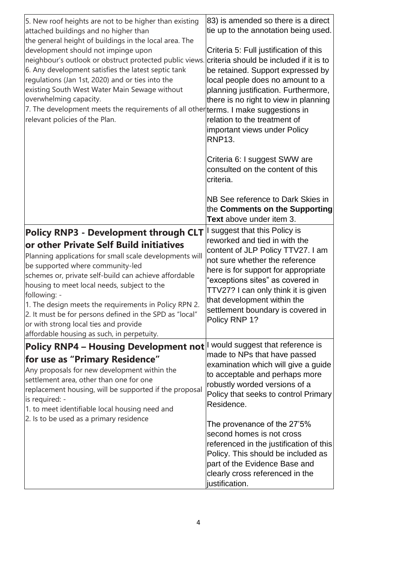| 5. New roof heights are not to be higher than existing<br>attached buildings and no higher than<br>the general height of buildings in the local area. The<br>development should not impinge upon<br>neighbour's outlook or obstruct protected public views. criteria should be included if it is to<br>6. Any development satisfies the latest septic tank<br>regulations (Jan 1st, 2020) and or ties into the<br>existing South West Water Main Sewage without<br>overwhelming capacity.<br>7. The development meets the requirements of all other terms. I make suggestions in<br>relevant policies of the Plan. | 83) is amended so there is a direct<br>tie up to the annotation being used.<br>Criteria 5: Full justification of this<br>be retained. Support expressed by<br>local people does no amount to a<br>planning justification. Furthermore,<br>there is no right to view in planning<br>relation to the treatment of<br>important views under Policy<br><b>RNP13.</b> |
|--------------------------------------------------------------------------------------------------------------------------------------------------------------------------------------------------------------------------------------------------------------------------------------------------------------------------------------------------------------------------------------------------------------------------------------------------------------------------------------------------------------------------------------------------------------------------------------------------------------------|------------------------------------------------------------------------------------------------------------------------------------------------------------------------------------------------------------------------------------------------------------------------------------------------------------------------------------------------------------------|
|                                                                                                                                                                                                                                                                                                                                                                                                                                                                                                                                                                                                                    | Criteria 6: I suggest SWW are<br>consulted on the content of this<br>criteria.<br>NB See reference to Dark Skies in<br>the Comments on the Supporting<br>Text above under item 3.                                                                                                                                                                                |
| Policy RNP3 - Development through CLT I suggest that this Policy is<br>or other Private Self Build initiatives<br>Planning applications for small scale developments will<br>be supported where community-led<br>schemes or, private self-build can achieve affordable<br>housing to meet local needs, subject to the<br>following: -<br>1. The design meets the requirements in Policy RPN 2.<br>2. It must be for persons defined in the SPD as "local"                                                                                                                                                          | reworked and tied in with the<br>content of JLP Policy TTV27. I am<br>not sure whether the reference<br>here is for support for appropriate<br>"exceptions sites" as covered in<br>TTV27? I can only think it is given<br>that development within the<br>settlement boundary is covered in<br>Policy RNP 1?                                                      |
| or with strong local ties and provide<br>affordable housing as such, in perpetuity.<br>Policy RNP4 - Housing Development not I would suggest that reference is<br>for use as "Primary Residence"<br>Any proposals for new development within the<br>settlement area, other than one for one<br>replacement housing, will be supported if the proposal<br>is required: -<br>1. to meet identifiable local housing need and                                                                                                                                                                                          | made to NPs that have passed<br>examination which will give a guide<br>to acceptable and perhaps more<br>robustly worded versions of a<br>Policy that seeks to control Primary<br>Residence.                                                                                                                                                                     |
| 2. Is to be used as a primary residence                                                                                                                                                                                                                                                                                                                                                                                                                                                                                                                                                                            | The provenance of the 27'5%<br>second homes is not cross<br>referenced in the justification of this<br>Policy. This should be included as<br>part of the Evidence Base and<br>clearly cross referenced in the<br>justification.                                                                                                                                  |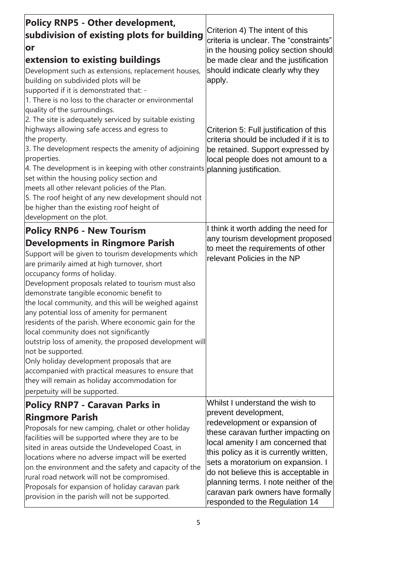| <b>Policy RNP5 - Other development,</b><br>subdivision of existing plots for building<br>or<br>extension to existing buildings<br>Development such as extensions, replacement houses,<br>building on subdivided plots will be<br>supported if it is demonstrated that: -<br>1. There is no loss to the character or environmental<br>quality of the surroundings.<br>2. The site is adequately serviced by suitable existing<br>highways allowing safe access and egress to<br>the property.<br>3. The development respects the amenity of adjoining<br>properties.<br>4. The development is in keeping with other constraints planning justification.<br>set within the housing policy section and<br>meets all other relevant policies of the Plan.<br>5. The roof height of any new development should not<br>be higher than the existing roof height of<br>development on the plot. | Criterion 4) The intent of this<br>criteria is unclear. The "constraints"<br>in the housing policy section should<br>be made clear and the justification<br>should indicate clearly why they<br>apply.<br>Criterion 5: Full justification of this<br>criteria should be included if it is to<br>be retained. Support expressed by<br>local people does not amount to a                                      |
|-----------------------------------------------------------------------------------------------------------------------------------------------------------------------------------------------------------------------------------------------------------------------------------------------------------------------------------------------------------------------------------------------------------------------------------------------------------------------------------------------------------------------------------------------------------------------------------------------------------------------------------------------------------------------------------------------------------------------------------------------------------------------------------------------------------------------------------------------------------------------------------------|-------------------------------------------------------------------------------------------------------------------------------------------------------------------------------------------------------------------------------------------------------------------------------------------------------------------------------------------------------------------------------------------------------------|
| <b>Policy RNP6 - New Tourism</b><br><b>Developments in Ringmore Parish</b><br>Support will be given to tourism developments which<br>are primarily aimed at high turnover, short<br>occupancy forms of holiday.<br>Development proposals related to tourism must also<br>demonstrate tangible economic benefit to<br>the local community, and this will be weighed against<br>any potential loss of amenity for permanent<br>residents of the parish. Where economic gain for the<br>local community does not significantly<br>outstrip loss of amenity, the proposed development will<br>not be supported.<br>Only holiday development proposals that are<br>accompanied with practical measures to ensure that<br>they will remain as holiday accommodation for<br>perpetuity will be supported.                                                                                      | I think it worth adding the need for<br>any tourism development proposed<br>to meet the requirements of other<br>relevant Policies in the NP                                                                                                                                                                                                                                                                |
| <b>Policy RNP7 - Caravan Parks in</b><br><b>Ringmore Parish</b><br>Proposals for new camping, chalet or other holiday<br>facilities will be supported where they are to be<br>sited in areas outside the Undeveloped Coast, in<br>locations where no adverse impact will be exerted<br>on the environment and the safety and capacity of the<br>rural road network will not be compromised.<br>Proposals for expansion of holiday caravan park<br>provision in the parish will not be supported.                                                                                                                                                                                                                                                                                                                                                                                        | Whilst I understand the wish to<br>prevent development,<br>redevelopment or expansion of<br>these caravan further impacting on<br>local amenity I am concerned that<br>this policy as it is currently written,<br>sets a moratorium on expansion. I<br>do not believe this is acceptable in<br>planning terms. I note neither of the<br>caravan park owners have formally<br>responded to the Regulation 14 |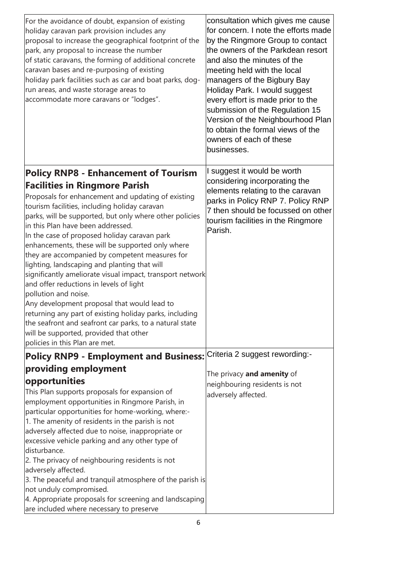| For the avoidance of doubt, expansion of existing<br>holiday caravan park provision includes any<br>proposal to increase the geographical footprint of the<br>park, any proposal to increase the number<br>of static caravans, the forming of additional concrete<br>caravan bases and re-purposing of existing<br>holiday park facilities such as car and boat parks, dog-<br>run areas, and waste storage areas to<br>accommodate more caravans or "lodges".                                                                                                                                                                                                                                                                                                                                                                     | consultation which gives me cause<br>for concern. I note the efforts made<br>by the Ringmore Group to contact<br>the owners of the Parkdean resort<br>and also the minutes of the<br>meeting held with the local<br>managers of the Bigbury Bay<br>Holiday Park. I would suggest<br>every effort is made prior to the<br>submission of the Regulation 15<br>Version of the Neighbourhood Plan<br>to obtain the formal views of the<br>owners of each of these<br>businesses. |
|------------------------------------------------------------------------------------------------------------------------------------------------------------------------------------------------------------------------------------------------------------------------------------------------------------------------------------------------------------------------------------------------------------------------------------------------------------------------------------------------------------------------------------------------------------------------------------------------------------------------------------------------------------------------------------------------------------------------------------------------------------------------------------------------------------------------------------|------------------------------------------------------------------------------------------------------------------------------------------------------------------------------------------------------------------------------------------------------------------------------------------------------------------------------------------------------------------------------------------------------------------------------------------------------------------------------|
| <b>Policy RNP8 - Enhancement of Tourism</b>                                                                                                                                                                                                                                                                                                                                                                                                                                                                                                                                                                                                                                                                                                                                                                                        | I suggest it would be worth                                                                                                                                                                                                                                                                                                                                                                                                                                                  |
| <b>Facilities in Ringmore Parish</b><br>Proposals for enhancement and updating of existing<br>tourism facilities, including holiday caravan<br>parks, will be supported, but only where other policies<br>in this Plan have been addressed.<br>In the case of proposed holiday caravan park<br>enhancements, these will be supported only where<br>they are accompanied by competent measures for<br>lighting, landscaping and planting that will<br>significantly ameliorate visual impact, transport network<br>and offer reductions in levels of light<br>pollution and noise.<br>Any development proposal that would lead to<br>returning any part of existing holiday parks, including<br>the seafront and seafront car parks, to a natural state<br>will be supported, provided that other<br>policies in this Plan are met. | considering incorporating the<br>elements relating to the caravan<br>parks in Policy RNP 7. Policy RNP<br>7 then should be focussed on other<br>tourism facilities in the Ringmore<br>Parish.                                                                                                                                                                                                                                                                                |
| Policy RNP9 - Employment and Business: Criteria 2 suggest rewording:-                                                                                                                                                                                                                                                                                                                                                                                                                                                                                                                                                                                                                                                                                                                                                              |                                                                                                                                                                                                                                                                                                                                                                                                                                                                              |
| providing employment                                                                                                                                                                                                                                                                                                                                                                                                                                                                                                                                                                                                                                                                                                                                                                                                               |                                                                                                                                                                                                                                                                                                                                                                                                                                                                              |
| opportunities                                                                                                                                                                                                                                                                                                                                                                                                                                                                                                                                                                                                                                                                                                                                                                                                                      | The privacy and amenity of                                                                                                                                                                                                                                                                                                                                                                                                                                                   |
| This Plan supports proposals for expansion of                                                                                                                                                                                                                                                                                                                                                                                                                                                                                                                                                                                                                                                                                                                                                                                      | neighbouring residents is not                                                                                                                                                                                                                                                                                                                                                                                                                                                |
| employment opportunities in Ringmore Parish, in                                                                                                                                                                                                                                                                                                                                                                                                                                                                                                                                                                                                                                                                                                                                                                                    | adversely affected.                                                                                                                                                                                                                                                                                                                                                                                                                                                          |
| particular opportunities for home-working, where:-                                                                                                                                                                                                                                                                                                                                                                                                                                                                                                                                                                                                                                                                                                                                                                                 |                                                                                                                                                                                                                                                                                                                                                                                                                                                                              |
| 1. The amenity of residents in the parish is not                                                                                                                                                                                                                                                                                                                                                                                                                                                                                                                                                                                                                                                                                                                                                                                   |                                                                                                                                                                                                                                                                                                                                                                                                                                                                              |
| adversely affected due to noise, inappropriate or                                                                                                                                                                                                                                                                                                                                                                                                                                                                                                                                                                                                                                                                                                                                                                                  |                                                                                                                                                                                                                                                                                                                                                                                                                                                                              |
| excessive vehicle parking and any other type of                                                                                                                                                                                                                                                                                                                                                                                                                                                                                                                                                                                                                                                                                                                                                                                    |                                                                                                                                                                                                                                                                                                                                                                                                                                                                              |
| disturbance.                                                                                                                                                                                                                                                                                                                                                                                                                                                                                                                                                                                                                                                                                                                                                                                                                       |                                                                                                                                                                                                                                                                                                                                                                                                                                                                              |
| 2. The privacy of neighbouring residents is not                                                                                                                                                                                                                                                                                                                                                                                                                                                                                                                                                                                                                                                                                                                                                                                    |                                                                                                                                                                                                                                                                                                                                                                                                                                                                              |
| adversely affected.                                                                                                                                                                                                                                                                                                                                                                                                                                                                                                                                                                                                                                                                                                                                                                                                                |                                                                                                                                                                                                                                                                                                                                                                                                                                                                              |
| 3. The peaceful and tranquil atmosphere of the parish is                                                                                                                                                                                                                                                                                                                                                                                                                                                                                                                                                                                                                                                                                                                                                                           |                                                                                                                                                                                                                                                                                                                                                                                                                                                                              |
| not unduly compromised.<br>4. Appropriate proposals for screening and landscaping                                                                                                                                                                                                                                                                                                                                                                                                                                                                                                                                                                                                                                                                                                                                                  |                                                                                                                                                                                                                                                                                                                                                                                                                                                                              |
| are included where necessary to preserve                                                                                                                                                                                                                                                                                                                                                                                                                                                                                                                                                                                                                                                                                                                                                                                           |                                                                                                                                                                                                                                                                                                                                                                                                                                                                              |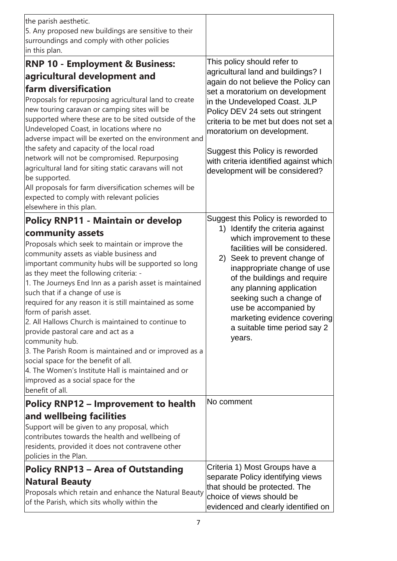| the parish aesthetic.<br>5. Any proposed new buildings are sensitive to their<br>surroundings and comply with other policies                                                                                                                                                                                                                                                                                                                                                                                                                                                                                                                                                                                                                                               |                                                                                                                                                                                                                                                                                                                                                                                                         |
|----------------------------------------------------------------------------------------------------------------------------------------------------------------------------------------------------------------------------------------------------------------------------------------------------------------------------------------------------------------------------------------------------------------------------------------------------------------------------------------------------------------------------------------------------------------------------------------------------------------------------------------------------------------------------------------------------------------------------------------------------------------------------|---------------------------------------------------------------------------------------------------------------------------------------------------------------------------------------------------------------------------------------------------------------------------------------------------------------------------------------------------------------------------------------------------------|
| in this plan.                                                                                                                                                                                                                                                                                                                                                                                                                                                                                                                                                                                                                                                                                                                                                              |                                                                                                                                                                                                                                                                                                                                                                                                         |
| <b>RNP 10 - Employment &amp; Business:</b><br>agricultural development and<br>farm diversification<br>Proposals for repurposing agricultural land to create<br>new touring caravan or camping sites will be<br>supported where these are to be sited outside of the<br>Undeveloped Coast, in locations where no<br>adverse impact will be exerted on the environment and<br>the safety and capacity of the local road<br>network will not be compromised. Repurposing<br>agricultural land for siting static caravans will not<br>be supported.                                                                                                                                                                                                                            | This policy should refer to<br>agricultural land and buildings? I<br>again do not believe the Policy can<br>set a moratorium on development<br>in the Undeveloped Coast. JLP<br>Policy DEV 24 sets out stringent<br>criteria to be met but does not set a<br>moratorium on development.<br>Suggest this Policy is reworded<br>with criteria identified against which<br>development will be considered? |
| All proposals for farm diversification schemes will be<br>expected to comply with relevant policies<br>elsewhere in this plan.                                                                                                                                                                                                                                                                                                                                                                                                                                                                                                                                                                                                                                             |                                                                                                                                                                                                                                                                                                                                                                                                         |
| <b>Policy RNP11 - Maintain or develop</b><br>community assets<br>Proposals which seek to maintain or improve the<br>community assets as viable business and<br>important community hubs will be supported so long<br>as they meet the following criteria: -<br>1. The Journeys End Inn as a parish asset is maintained<br>such that if a change of use is<br>required for any reason it is still maintained as some<br>form of parish asset.<br>2. All Hallows Church is maintained to continue to<br>provide pastoral care and act as a<br>community hub.<br>3. The Parish Room is maintained and or improved as a<br>social space for the benefit of all.<br>4. The Women's Institute Hall is maintained and or<br>improved as a social space for the<br>benefit of all. | Suggest this Policy is reworded to<br>1) Identify the criteria against<br>which improvement to these<br>facilities will be considered.<br>2) Seek to prevent change of<br>inappropriate change of use<br>of the buildings and require<br>any planning application<br>seeking such a change of<br>use be accompanied by<br>marketing evidence covering<br>a suitable time period say 2<br>years.         |
| <b>Policy RNP12 - Improvement to health</b><br>and wellbeing facilities<br>Support will be given to any proposal, which<br>contributes towards the health and wellbeing of<br>residents, provided it does not contravene other<br>policies in the Plan.                                                                                                                                                                                                                                                                                                                                                                                                                                                                                                                    | No comment                                                                                                                                                                                                                                                                                                                                                                                              |
| <b>Policy RNP13 – Area of Outstanding</b><br><b>Natural Beauty</b><br>Proposals which retain and enhance the Natural Beauty<br>of the Parish, which sits wholly within the                                                                                                                                                                                                                                                                                                                                                                                                                                                                                                                                                                                                 | Criteria 1) Most Groups have a<br>separate Policy identifying views<br>that should be protected. The<br>choice of views should be<br>evidenced and clearly identified on                                                                                                                                                                                                                                |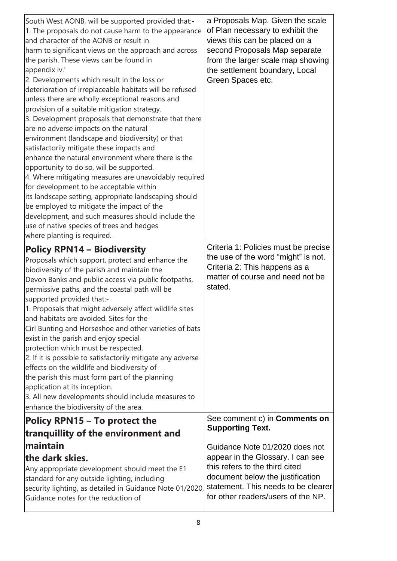| South West AONB, will be supported provided that:-<br>1. The proposals do not cause harm to the appearance<br>and character of the AONB or result in<br>harm to significant views on the approach and across<br>the parish. These views can be found in<br>appendix iv.'<br>2. Developments which result in the loss or<br>deterioration of irreplaceable habitats will be refused<br>unless there are wholly exceptional reasons and<br>provision of a suitable mitigation strategy.<br>3. Development proposals that demonstrate that there<br>are no adverse impacts on the natural<br>environment (landscape and biodiversity) or that<br>satisfactorily mitigate these impacts and<br>enhance the natural environment where there is the<br>opportunity to do so, will be supported.<br>4. Where mitigating measures are unavoidably required<br>for development to be acceptable within<br>its landscape setting, appropriate landscaping should<br>be employed to mitigate the impact of the<br>development, and such measures should include the<br>use of native species of trees and hedges<br>where planting is required. | a Proposals Map. Given the scale<br>of Plan necessary to exhibit the<br>views this can be placed on a<br>second Proposals Map separate<br>from the larger scale map showing<br>the settlement boundary, Local<br>Green Spaces etc. |
|--------------------------------------------------------------------------------------------------------------------------------------------------------------------------------------------------------------------------------------------------------------------------------------------------------------------------------------------------------------------------------------------------------------------------------------------------------------------------------------------------------------------------------------------------------------------------------------------------------------------------------------------------------------------------------------------------------------------------------------------------------------------------------------------------------------------------------------------------------------------------------------------------------------------------------------------------------------------------------------------------------------------------------------------------------------------------------------------------------------------------------------|------------------------------------------------------------------------------------------------------------------------------------------------------------------------------------------------------------------------------------|
| <b>Policy RPN14 - Biodiversity</b><br>Proposals which support, protect and enhance the<br>biodiversity of the parish and maintain the<br>Devon Banks and public access via public footpaths,<br>permissive paths, and the coastal path will be<br>supported provided that:-<br>1. Proposals that might adversely affect wildlife sites<br>and habitats are avoided. Sites for the<br>Cirl Bunting and Horseshoe and other varieties of bats<br>exist in the parish and enjoy special<br>protection which must be respected.<br>2. If it is possible to satisfactorily mitigate any adverse<br>effects on the wildlife and biodiversity of<br>the parish this must form part of the planning<br>application at its inception.<br>3. All new developments should include measures to<br>enhance the biodiversity of the area.                                                                                                                                                                                                                                                                                                          | Criteria 1: Policies must be precise<br>the use of the word "might" is not.<br>Criteria 2: This happens as a<br>matter of course and need not be<br>stated.                                                                        |
| Policy RPN15 – To protect the<br>tranquillity of the environment and                                                                                                                                                                                                                                                                                                                                                                                                                                                                                                                                                                                                                                                                                                                                                                                                                                                                                                                                                                                                                                                                 | See comment c) in <b>Comments on</b><br><b>Supporting Text.</b>                                                                                                                                                                    |
| maintain<br>the dark skies.                                                                                                                                                                                                                                                                                                                                                                                                                                                                                                                                                                                                                                                                                                                                                                                                                                                                                                                                                                                                                                                                                                          |                                                                                                                                                                                                                                    |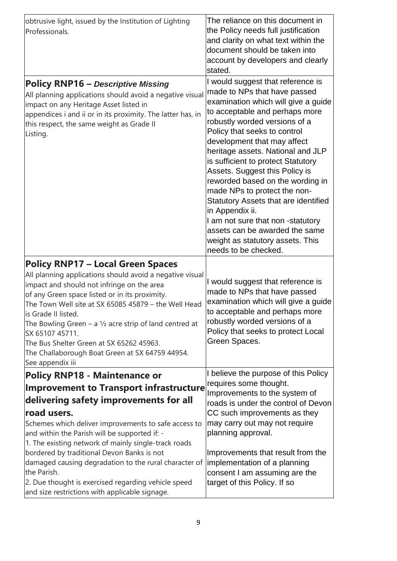| obtrusive light, issued by the Institution of Lighting<br>Professionals.                                                                                                                                                                                                                                                                                                                                                                                                                                                                        | The reliance on this document in<br>the Policy needs full justification<br>and clarity on what text within the<br>document should be taken into<br>account by developers and clearly<br>stated.                                                                                                                                                                                                                                                                                                                                                                                                                           |
|-------------------------------------------------------------------------------------------------------------------------------------------------------------------------------------------------------------------------------------------------------------------------------------------------------------------------------------------------------------------------------------------------------------------------------------------------------------------------------------------------------------------------------------------------|---------------------------------------------------------------------------------------------------------------------------------------------------------------------------------------------------------------------------------------------------------------------------------------------------------------------------------------------------------------------------------------------------------------------------------------------------------------------------------------------------------------------------------------------------------------------------------------------------------------------------|
| <b>Policy RNP16 - Descriptive Missing</b><br>All planning applications should avoid a negative visual<br>impact on any Heritage Asset listed in<br>appendices i and ii or in its proximity. The latter has, in<br>this respect, the same weight as Grade II<br>Listing.                                                                                                                                                                                                                                                                         | I would suggest that reference is<br>made to NPs that have passed<br>examination which will give a guide<br>to acceptable and perhaps more<br>robustly worded versions of a<br>Policy that seeks to control<br>development that may affect<br>heritage assets. National and JLP<br>is sufficient to protect Statutory<br>Assets. Suggest this Policy is<br>reworded based on the wording in<br>made NPs to protect the non-<br>Statutory Assets that are identified<br>in Appendix ii.<br>I am not sure that non -statutory<br>assets can be awarded the same<br>weight as statutory assets. This<br>needs to be checked. |
| <b>Policy RNP17 - Local Green Spaces</b><br>All planning applications should avoid a negative visual<br>impact and should not infringe on the area<br>of any Green space listed or in its proximity.<br>The Town Well site at SX 65085 45879 - the Well Head<br>is Grade II listed.<br>The Bowling Green – a $1/2$ acre strip of land centred at<br>SX 65107 45711.<br>The Bus Shelter Green at SX 65262 45963.<br>The Challaborough Boat Green at SX 64759 44954.<br>See appendix iii                                                          | I would suggest that reference is<br>made to NPs that have passed<br>examination which will give a guide<br>to acceptable and perhaps more<br>robustly worded versions of a<br>Policy that seeks to protect Local<br>Green Spaces.                                                                                                                                                                                                                                                                                                                                                                                        |
| <b>Policy RNP18 - Maintenance or</b><br><b>Improvement to Transport infrastructure</b><br>delivering safety improvements for all<br>road users.<br>Schemes which deliver improvements to safe access to<br>and within the Parish will be supported if: -<br>1. The existing network of mainly single-track roads<br>bordered by traditional Devon Banks is not<br>damaged causing degradation to the rural character of<br>the Parish.<br>2. Due thought is exercised regarding vehicle speed<br>and size restrictions with applicable signage. | I believe the purpose of this Policy<br>requires some thought.<br>Improvements to the system of<br>roads is under the control of Devon<br>CC such improvements as they<br>may carry out may not require<br>planning approval.<br>Improvements that result from the<br>implementation of a planning<br>consent I am assuming are the<br>target of this Policy. If so                                                                                                                                                                                                                                                       |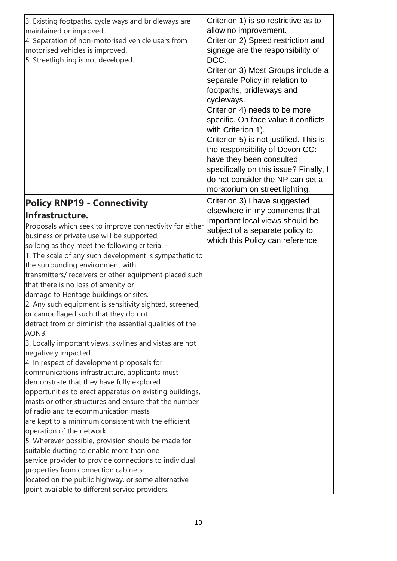| 3. Existing footpaths, cycle ways and bridleways are    | Criterion 1) is so restrictive as to   |
|---------------------------------------------------------|----------------------------------------|
| maintained or improved.                                 | allow no improvement.                  |
| 4. Separation of non-motorised vehicle users from       | Criterion 2) Speed restriction and     |
| motorised vehicles is improved.                         | signage are the responsibility of      |
| 5. Streetlighting is not developed.                     | DCC.                                   |
|                                                         | Criterion 3) Most Groups include a     |
|                                                         | separate Policy in relation to         |
|                                                         | footpaths, bridleways and              |
|                                                         | cycleways.                             |
|                                                         | Criterion 4) needs to be more          |
|                                                         | specific. On face value it conflicts   |
|                                                         | with Criterion 1).                     |
|                                                         | Criterion 5) is not justified. This is |
|                                                         | the responsibility of Devon CC:        |
|                                                         | have they been consulted               |
|                                                         | specifically on this issue? Finally, I |
|                                                         | do not consider the NP can set a       |
|                                                         | moratorium on street lighting.         |
|                                                         |                                        |
| <b>Policy RNP19 - Connectivity</b>                      | Criterion 3) I have suggested          |
| Infrastructure.                                         | elsewhere in my comments that          |
| Proposals which seek to improve connectivity for either | important local views should be        |
| business or private use will be supported,              | subject of a separate policy to        |
| so long as they meet the following criteria: -          | which this Policy can reference.       |
| 1. The scale of any such development is sympathetic to  |                                        |
| the surrounding environment with                        |                                        |
| transmitters/ receivers or other equipment placed such  |                                        |
| that there is no loss of amenity or                     |                                        |
| damage to Heritage buildings or sites.                  |                                        |
| 2. Any such equipment is sensitivity sighted, screened, |                                        |
| or camouflaged such that they do not                    |                                        |
| detract from or diminish the essential qualities of the |                                        |
| AONB.                                                   |                                        |
| 3. Locally important views, skylines and vistas are not |                                        |
| negatively impacted.                                    |                                        |
| 4. In respect of development proposals for              |                                        |
| communications infrastructure, applicants must          |                                        |
| demonstrate that they have fully explored               |                                        |
| opportunities to erect apparatus on existing buildings, |                                        |
| masts or other structures and ensure that the number    |                                        |
| of radio and telecommunication masts                    |                                        |
| are kept to a minimum consistent with the efficient     |                                        |
| operation of the network.                               |                                        |
| 5. Wherever possible, provision should be made for      |                                        |
| suitable ducting to enable more than one                |                                        |
| service provider to provide connections to individual   |                                        |
| properties from connection cabinets                     |                                        |
| located on the public highway, or some alternative      |                                        |
| point available to different service providers.         |                                        |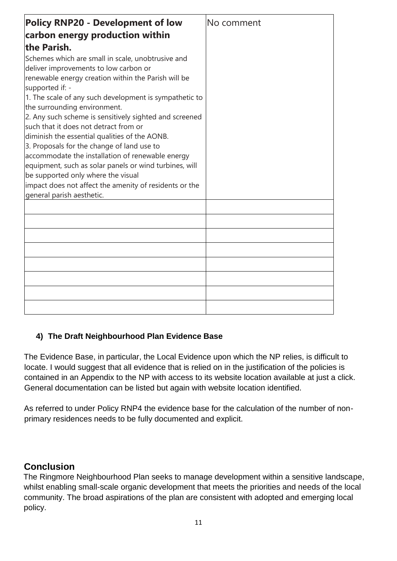| <b>Policy RNP20 - Development of low</b>                                                                                                                                                                                                                                                                                                                                                                                                                                                                                                                                                                                                                                                                    | No comment |
|-------------------------------------------------------------------------------------------------------------------------------------------------------------------------------------------------------------------------------------------------------------------------------------------------------------------------------------------------------------------------------------------------------------------------------------------------------------------------------------------------------------------------------------------------------------------------------------------------------------------------------------------------------------------------------------------------------------|------------|
| carbon energy production within                                                                                                                                                                                                                                                                                                                                                                                                                                                                                                                                                                                                                                                                             |            |
| the Parish.                                                                                                                                                                                                                                                                                                                                                                                                                                                                                                                                                                                                                                                                                                 |            |
| Schemes which are small in scale, unobtrusive and<br>deliver improvements to low carbon or<br>renewable energy creation within the Parish will be<br>supported if: -<br>1. The scale of any such development is sympathetic to<br>the surrounding environment.<br>2. Any such scheme is sensitively sighted and screened<br>such that it does not detract from or<br>diminish the essential qualities of the AONB.<br>3. Proposals for the change of land use to<br>accommodate the installation of renewable energy<br>equipment, such as solar panels or wind turbines, will<br>be supported only where the visual<br>impact does not affect the amenity of residents or the<br>general parish aesthetic. |            |
|                                                                                                                                                                                                                                                                                                                                                                                                                                                                                                                                                                                                                                                                                                             |            |
|                                                                                                                                                                                                                                                                                                                                                                                                                                                                                                                                                                                                                                                                                                             |            |
|                                                                                                                                                                                                                                                                                                                                                                                                                                                                                                                                                                                                                                                                                                             |            |
|                                                                                                                                                                                                                                                                                                                                                                                                                                                                                                                                                                                                                                                                                                             |            |
|                                                                                                                                                                                                                                                                                                                                                                                                                                                                                                                                                                                                                                                                                                             |            |
|                                                                                                                                                                                                                                                                                                                                                                                                                                                                                                                                                                                                                                                                                                             |            |
|                                                                                                                                                                                                                                                                                                                                                                                                                                                                                                                                                                                                                                                                                                             |            |
|                                                                                                                                                                                                                                                                                                                                                                                                                                                                                                                                                                                                                                                                                                             |            |

### **4) The Draft Neighbourhood Plan Evidence Base**

The Evidence Base, in particular, the Local Evidence upon which the NP relies, is difficult to locate. I would suggest that all evidence that is relied on in the justification of the policies is contained in an Appendix to the NP with access to its website location available at just a click. General documentation can be listed but again with website location identified.

As referred to under Policy RNP4 the evidence base for the calculation of the number of nonprimary residences needs to be fully documented and explicit.

### **Conclusion**

The Ringmore Neighbourhood Plan seeks to manage development within a sensitive landscape, whilst enabling small-scale organic development that meets the priorities and needs of the local community. The broad aspirations of the plan are consistent with adopted and emerging local policy.